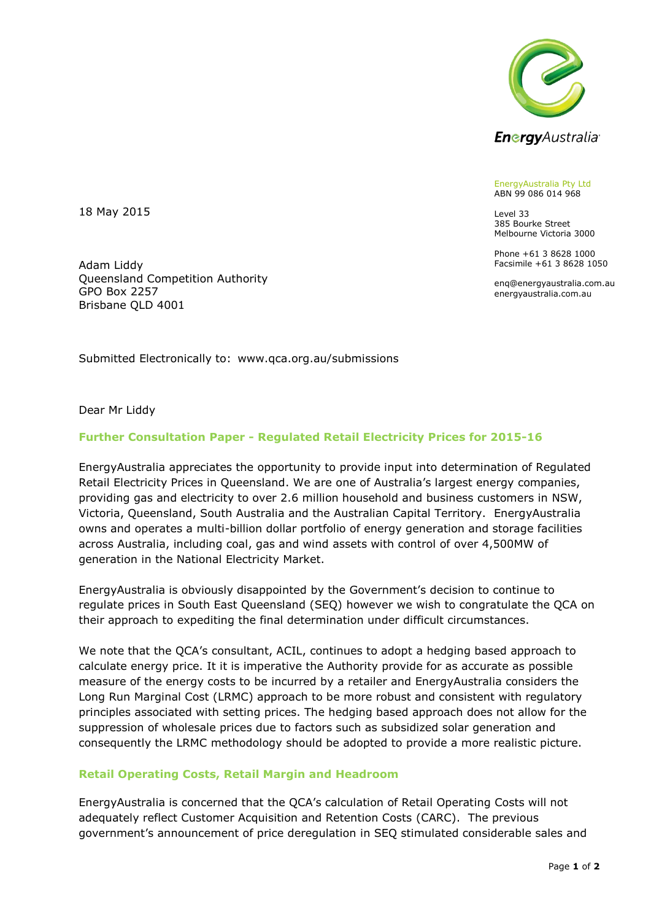

EnergyAustralia Pty Ltd ABN 99 086 014 968

Level 33 385 Bourke Street Melbourne Victoria 3000

Phone +61 3 8628 1000 Facsimile +61 3 8628 1050

enq@energyaustralia.com.au energyaustralia.com.au

18 May 2015

Adam Liddy Queensland Competition Authority GPO Box 2257 Brisbane QLD 4001

Submitted Electronically to: [www.qca.org.au/submissions](mailto:energysavings.scheme@trade.nsw.gov.au) 

Dear Mr Liddy

## **Further Consultation Paper - Regulated Retail Electricity Prices for 2015-16**

EnergyAustralia appreciates the opportunity to provide input into determination of Regulated Retail Electricity Prices in Queensland. We are one of Australia's largest energy companies, providing gas and electricity to over 2.6 million household and business customers in NSW, Victoria, Queensland, South Australia and the Australian Capital Territory. EnergyAustralia owns and operates a multi-billion dollar portfolio of energy generation and storage facilities across Australia, including coal, gas and wind assets with control of over 4,500MW of generation in the National Electricity Market.

EnergyAustralia is obviously disappointed by the Government's decision to continue to regulate prices in South East Queensland (SEQ) however we wish to congratulate the QCA on their approach to expediting the final determination under difficult circumstances.

We note that the QCA's consultant, ACIL, continues to adopt a hedging based approach to calculate energy price. It it is imperative the Authority provide for as accurate as possible measure of the energy costs to be incurred by a retailer and EnergyAustralia considers the Long Run Marginal Cost (LRMC) approach to be more robust and consistent with regulatory principles associated with setting prices. The hedging based approach does not allow for the suppression of wholesale prices due to factors such as subsidized solar generation and consequently the LRMC methodology should be adopted to provide a more realistic picture.

## **Retail Operating Costs, Retail Margin and Headroom**

EnergyAustralia is concerned that the QCA's calculation of Retail Operating Costs will not adequately reflect Customer Acquisition and Retention Costs (CARC). The previous government's announcement of price deregulation in SEQ stimulated considerable sales and